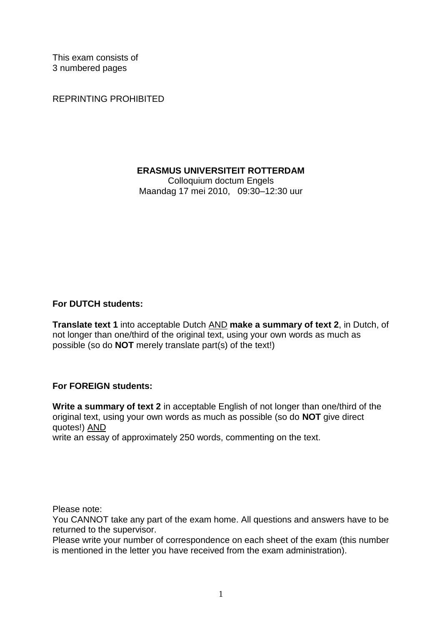This exam consists of 3 numbered pages

REPRINTING PROHIBITED

# **ERASMUS UNIVERSITEIT ROTTERDAM**

Colloquium doctum Engels Maandag 17 mei 2010, 09:30–12:30 uur

# **For DUTCH students:**

**Translate text 1** into acceptable Dutch AND **make a summary of text 2**, in Dutch, of not longer than one/third of the original text, using your own words as much as possible (so do **NOT** merely translate part(s) of the text!)

# **For FOREIGN students:**

**Write a summary of text 2** in acceptable English of not longer than one/third of the original text, using your own words as much as possible (so do **NOT** give direct quotes!) AND

write an essay of approximately 250 words, commenting on the text.

Please note:

You CANNOT take any part of the exam home. All questions and answers have to be returned to the supervisor.

Please write your number of correspondence on each sheet of the exam (this number is mentioned in the letter you have received from the exam administration).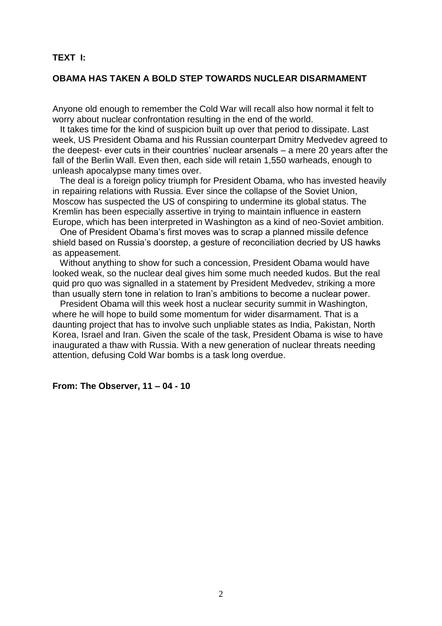# **TEXT I:**

# **OBAMA HAS TAKEN A BOLD STEP TOWARDS NUCLEAR DISARMAMENT**

Anyone old enough to remember the Cold War will recall also how normal it felt to worry about nuclear confrontation resulting in the end of the world.

 It takes time for the kind of suspicion built up over that period to dissipate. Last week, US President Obama and his Russian counterpart Dmitry Medvedev agreed to the deepest- ever cuts in their countries' nuclear arsenals – a mere 20 years after the fall of the Berlin Wall. Even then, each side will retain 1,550 warheads, enough to unleash apocalypse many times over.

 The deal is a foreign policy triumph for President Obama, who has invested heavily in repairing relations with Russia. Ever since the collapse of the Soviet Union, Moscow has suspected the US of conspiring to undermine its global status. The Kremlin has been especially assertive in trying to maintain influence in eastern Europe, which has been interpreted in Washington as a kind of neo-Soviet ambition.

 One of President Obama's first moves was to scrap a planned missile defence shield based on Russia's doorstep, a gesture of reconciliation decried by US hawks as appeasement.

 Without anything to show for such a concession, President Obama would have looked weak, so the nuclear deal gives him some much needed kudos. But the real quid pro quo was signalled in a statement by President Medvedev, striking a more than usually stern tone in relation to Iran's ambitions to become a nuclear power.

 President Obama will this week host a nuclear security summit in Washington, where he will hope to build some momentum for wider disarmament. That is a daunting project that has to involve such unpliable states as India, Pakistan, North Korea, Israel and Iran. Given the scale of the task, President Obama is wise to have inaugurated a thaw with Russia. With a new generation of nuclear threats needing attention, defusing Cold War bombs is a task long overdue.

**From: The Observer, 11 – 04 - 10**